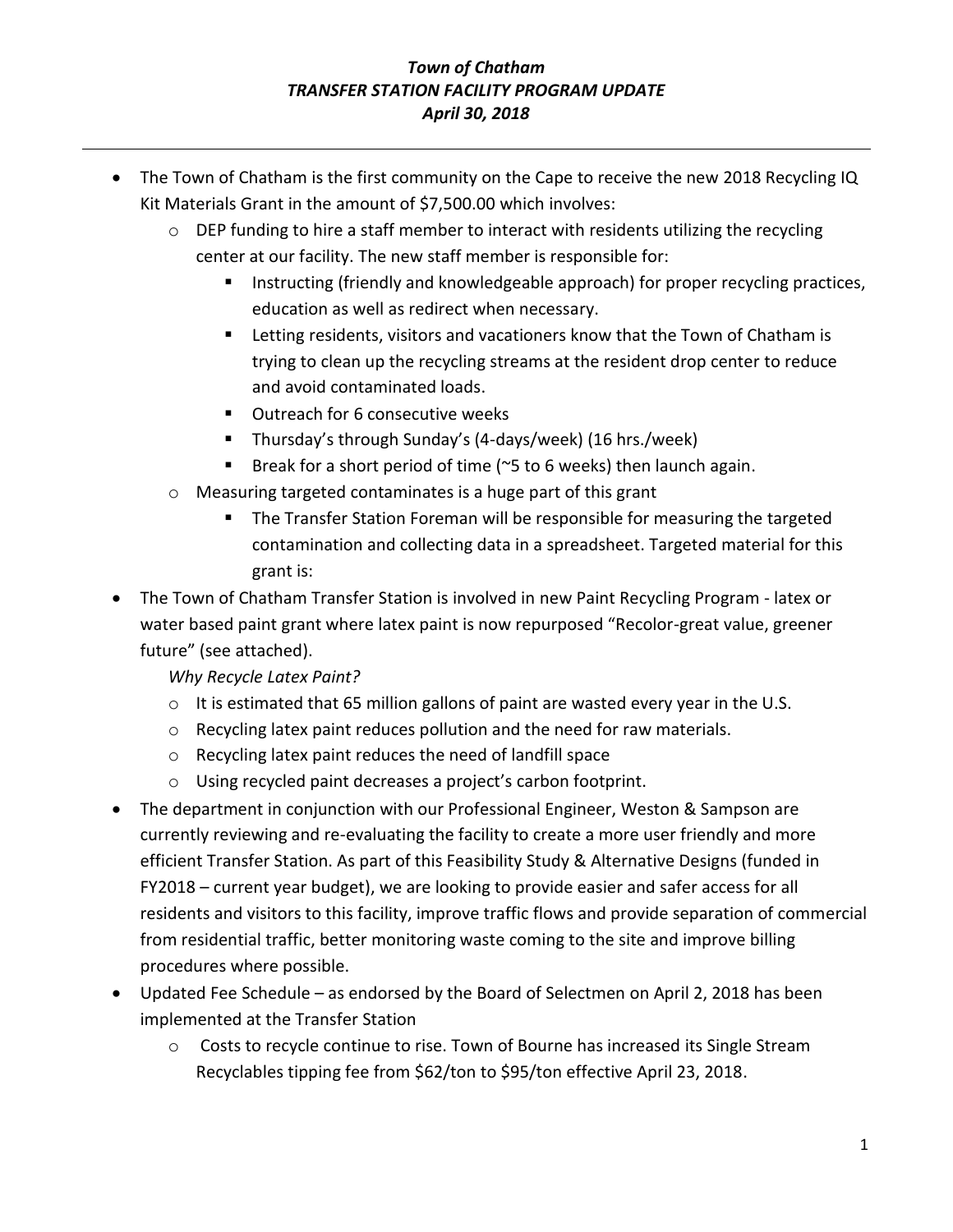## *Town of Chatham TRANSFER STATION FACILITY PROGRAM UPDATE April 30, 2018*

- The Town of Chatham is the first community on the Cape to receive the new 2018 Recycling IQ Kit Materials Grant in the amount of \$7,500.00 which involves:
	- o DEP funding to hire a staff member to interact with residents utilizing the recycling center at our facility. The new staff member is responsible for:
		- Instructing (friendly and knowledgeable approach) for proper recycling practices, education as well as redirect when necessary.
		- Letting residents, visitors and vacationers know that the Town of Chatham is trying to clean up the recycling streams at the resident drop center to reduce and avoid contaminated loads.
		- Outreach for 6 consecutive weeks
		- Thursday's through Sunday's (4-days/week) (16 hrs./week)
		- **E** Break for a short period of time ( $\approx$ 5 to 6 weeks) then launch again.
	- o Measuring targeted contaminates is a huge part of this grant
		- **The Transfer Station Foreman will be responsible for measuring the targeted** contamination and collecting data in a spreadsheet. Targeted material for this grant is:
- The Town of Chatham Transfer Station is involved in new Paint Recycling Program latex or water based paint grant where latex paint is now repurposed "Recolor-great value, greener future" (see attached).

*Why Recycle Latex Paint?*

- $\circ$  It is estimated that 65 million gallons of paint are wasted every year in the U.S.
- o Recycling latex paint reduces pollution and the need for raw materials.
- o Recycling latex paint reduces the need of landfill space
- o Using recycled paint decreases a project's carbon footprint.
- The department in conjunction with our Professional Engineer, Weston & Sampson are currently reviewing and re-evaluating the facility to create a more user friendly and more efficient Transfer Station. As part of this Feasibility Study & Alternative Designs (funded in FY2018 – current year budget), we are looking to provide easier and safer access for all residents and visitors to this facility, improve traffic flows and provide separation of commercial from residential traffic, better monitoring waste coming to the site and improve billing procedures where possible.
- Updated Fee Schedule as endorsed by the Board of Selectmen on April 2, 2018 has been implemented at the Transfer Station
	- o Costs to recycle continue to rise. Town of Bourne has increased its Single Stream Recyclables tipping fee from \$62/ton to \$95/ton effective April 23, 2018.